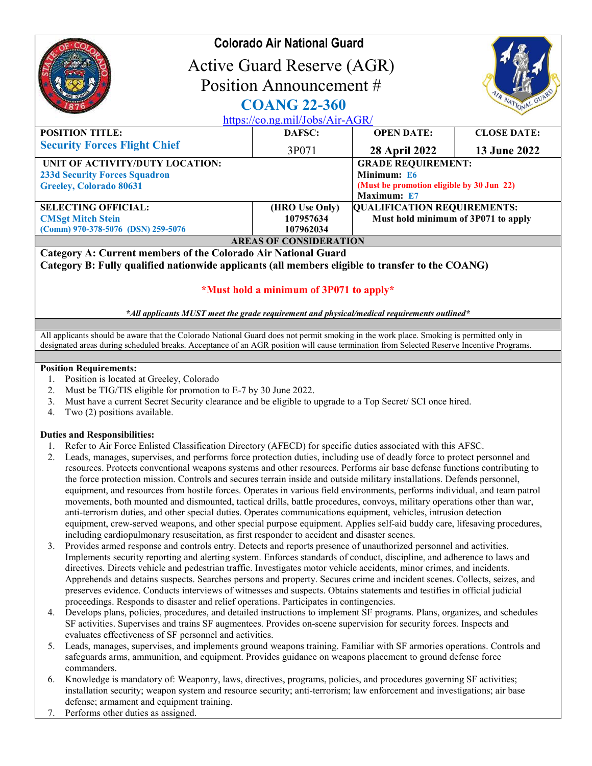|                                                                                                                                                                                                                                                                                                                                                                                                                                                                                                                                                                                                                                                                                                                                                                                                                                                                                       | <b>Colorado Air National Guard</b>       |                                                                                                      |                    |  |  |
|---------------------------------------------------------------------------------------------------------------------------------------------------------------------------------------------------------------------------------------------------------------------------------------------------------------------------------------------------------------------------------------------------------------------------------------------------------------------------------------------------------------------------------------------------------------------------------------------------------------------------------------------------------------------------------------------------------------------------------------------------------------------------------------------------------------------------------------------------------------------------------------|------------------------------------------|------------------------------------------------------------------------------------------------------|--------------------|--|--|
|                                                                                                                                                                                                                                                                                                                                                                                                                                                                                                                                                                                                                                                                                                                                                                                                                                                                                       | Active Guard Reserve (AGR)               |                                                                                                      |                    |  |  |
| Position Announcement #                                                                                                                                                                                                                                                                                                                                                                                                                                                                                                                                                                                                                                                                                                                                                                                                                                                               |                                          |                                                                                                      |                    |  |  |
|                                                                                                                                                                                                                                                                                                                                                                                                                                                                                                                                                                                                                                                                                                                                                                                                                                                                                       | <b>COANG 22-360</b>                      |                                                                                                      | IR NATIONAL GU     |  |  |
| https://co.ng.mil/Jobs/Air-AGR/                                                                                                                                                                                                                                                                                                                                                                                                                                                                                                                                                                                                                                                                                                                                                                                                                                                       |                                          |                                                                                                      |                    |  |  |
| <b>POSITION TITLE:</b>                                                                                                                                                                                                                                                                                                                                                                                                                                                                                                                                                                                                                                                                                                                                                                                                                                                                | DAFSC:                                   | <b>OPEN DATE:</b>                                                                                    | <b>CLOSE DATE:</b> |  |  |
| <b>Security Forces Flight Chief</b>                                                                                                                                                                                                                                                                                                                                                                                                                                                                                                                                                                                                                                                                                                                                                                                                                                                   | 3P071                                    | <b>28 April 2022</b>                                                                                 | 13 June 2022       |  |  |
| UNIT OF ACTIVITY/DUTY LOCATION:<br><b>233d Security Forces Squadron</b><br>Greeley, Colorado 80631                                                                                                                                                                                                                                                                                                                                                                                                                                                                                                                                                                                                                                                                                                                                                                                    |                                          | <b>GRADE REQUIREMENT:</b><br>Minimum: E6<br>(Must be promotion eligible by 30 Jun 22)<br>Maximum: E7 |                    |  |  |
| <b>SELECTING OFFICIAL:</b><br><b>CMSgt Mitch Stein</b><br>(Comm) 970-378-5076 (DSN) 259-5076                                                                                                                                                                                                                                                                                                                                                                                                                                                                                                                                                                                                                                                                                                                                                                                          | (HRO Use Only)<br>107957634<br>107962034 | <b>QUALIFICATION REQUIREMENTS:</b><br>Must hold minimum of 3P071 to apply                            |                    |  |  |
|                                                                                                                                                                                                                                                                                                                                                                                                                                                                                                                                                                                                                                                                                                                                                                                                                                                                                       | <b>AREAS OF CONSIDERATION</b>            |                                                                                                      |                    |  |  |
| *All applicants MUST meet the grade requirement and physical/medical requirements outlined*                                                                                                                                                                                                                                                                                                                                                                                                                                                                                                                                                                                                                                                                                                                                                                                           | *Must hold a minimum of 3P071 to apply*  |                                                                                                      |                    |  |  |
| All applicants should be aware that the Colorado National Guard does not permit smoking in the work place. Smoking is permitted only in<br>designated areas during scheduled breaks. Acceptance of an AGR position will cause termination from Selected Reserve Incentive Programs.                                                                                                                                                                                                                                                                                                                                                                                                                                                                                                                                                                                                   |                                          |                                                                                                      |                    |  |  |
| <b>Position Requirements:</b>                                                                                                                                                                                                                                                                                                                                                                                                                                                                                                                                                                                                                                                                                                                                                                                                                                                         |                                          |                                                                                                      |                    |  |  |
| Position is located at Greeley, Colorado<br>l.<br>Must be TIG/TIS eligible for promotion to E-7 by 30 June 2022.<br>2.<br>Must have a current Secret Security clearance and be eligible to upgrade to a Top Secret/ SCI once hired.<br>3.<br>Two (2) positions available.<br>4.                                                                                                                                                                                                                                                                                                                                                                                                                                                                                                                                                                                                       |                                          |                                                                                                      |                    |  |  |
| <b>Duties and Responsibilities:</b>                                                                                                                                                                                                                                                                                                                                                                                                                                                                                                                                                                                                                                                                                                                                                                                                                                                   |                                          |                                                                                                      |                    |  |  |
| 1. Refer to Air Force Enlisted Classification Directory (AFECD) for specific duties associated with this AFSC.<br>2. Leads, manages, supervises, and performs force protection duties, including use of deadly force to protect personnel and<br>resources. Protects conventional weapons systems and other resources. Performs air base defense functions contributing to<br>the force protection mission. Controls and secures terrain inside and outside military installations. Defends personnel,<br>equipment, and resources from hostile forces. Operates in various field environments, performs individual, and team patrol<br>movements, both mounted and dismounted, tactical drills, battle procedures, convoys, military operations other than war,<br>anti-terrorism duties, and other special duties. Operates communications equipment, vehicles, intrusion detection |                                          |                                                                                                      |                    |  |  |

- 3. Provides armed response and controls entry. Detects and reports presence of unauthorized personnel and activities. Implements security reporting and alerting system. Enforces standards of conduct, discipline, and adherence to laws and directives. Directs vehicle and pedestrian traffic. Investigates motor vehicle accidents, minor crimes, and incidents. Apprehends and detains suspects. Searches persons and property. Secures crime and incident scenes. Collects, seizes, and preserves evidence. Conducts interviews of witnesses and suspects. Obtains statements and testifies in official judicial proceedings. Responds to disaster and relief operations. Participates in contingencies.
- 4. Develops plans, policies, procedures, and detailed instructions to implement SF programs. Plans, organizes, and schedules SF activities. Supervises and trains SF augmentees. Provides on-scene supervision for security forces. Inspects and evaluates effectiveness of SF personnel and activities.
- 5. Leads, manages, supervises, and implements ground weapons training. Familiar with SF armories operations. Controls and safeguards arms, ammunition, and equipment. Provides guidance on weapons placement to ground defense force commanders.
- 6. Knowledge is mandatory of: Weaponry, laws, directives, programs, policies, and procedures governing SF activities; installation security; weapon system and resource security; anti-terrorism; law enforcement and investigations; air base defense; armament and equipment training.
- 7. Performs other duties as assigned.